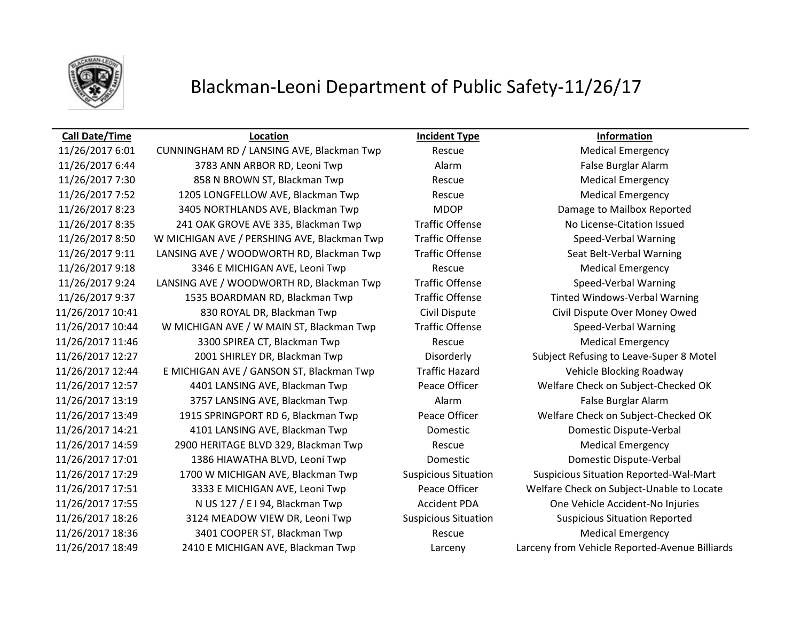

## Blackman-Leoni Department of Public Safety-11/26/17

## **Call Date/Time Location Incident Type Information**

11/26/2017 6:01 CUNNINGHAM RD / LANSING AVE, Blackman Twp Rescue Rescue Medical Emergency 11/26/2017 6:44 3783 ANN ARBOR RD, Leoni Twp Alarm Alarm Alarm False Burglar Alarm 11/26/2017 7:30 858 N BROWN ST, Blackman Twp Rescue Rescue Medical Emergency 11/26/2017 7:52 1205 LONGFELLOW AVE, Blackman Twp Rescue Rescue Medical Emergency 11/26/2017 8:23 3405 NORTHLANDS AVE, Blackman Twp MDOP Damage to Mailbox Reported 11/26/2017 8:35 241 OAK GROVE AVE 335, Blackman Twp Traffic Offense No License-Citation Issued 11/26/2017 8:50 W MICHIGAN AVE / PERSHING AVE, Blackman Twp Traffic Offense Speed-Verbal Warning 11/26/2017 9:11 LANSING AVE / WOODWORTH RD, Blackman Twp Traffic Offense Seat Belt-Verbal Warning 11/26/2017 9:18 3346 E MICHIGAN AVE, Leoni Twp Rescue Rescue Medical Emergency 11/26/2017 9:24 LANSING AVE / WOODWORTH RD, Blackman Twp Traffic Offense Speed-Verbal Warning 11/26/2017 9:37 1535 BOARDMAN RD, Blackman Twp Traffic Offense Tinted Windows-Verbal Warning 11/26/2017 10:41 830 ROYAL DR, Blackman Twp Civil Dispute Civil Dispute Over Money Owed 11/26/2017 10:44 W MICHIGAN AVE / W MAIN ST, Blackman Twp Traffic Offense Speed-Verbal Warning 11/26/2017 11:46 3300 SPIREA CT, Blackman Twp Rescue Rescue Medical Emergency 11/26/2017 12:27 2001 SHIRLEY DR, Blackman Twp Disorderly Subject Refusing to Leave-Super 8 Motel 11/26/2017 12:44 E MICHIGAN AVE / GANSON ST, Blackman Twp Traffic Hazard Vehicle Blocking Roadway 11/26/2017 12:57 4401 LANSING AVE, Blackman Twp Peace Officer Welfare Check on Subject-Checked OK 11/26/2017 13:19 3757 LANSING AVE, Blackman Twp Alarm Alarm False Burglar Alarm 11/26/2017 13:49 1915 SPRINGPORT RD 6, Blackman Twp Peace Officer Welfare Check on Subject-Checked OK 11/26/2017 14:21 4101 LANSING AVE, Blackman Twp Domestic Domestic Dispute-Verbal 11/26/2017 14:59 2900 HERITAGE BLVD 329, Blackman Twp Rescue Medical Emergency 11/26/2017 17:01 1386 HIAWATHA BLVD, Leoni Twp Domestic Domestic Dispute-Verbal 11/26/2017 17:29 1700 W MICHIGAN AVE, Blackman Twp Suspicious Situation Suspicious Situation Reported-Wal-Mart 11/26/2017 17:51 3333 E MICHIGAN AVE, Leoni Twp Peace Officer Welfare Check on Subject-Unable to Locate 11/26/2017 17:55 N US 127 / E I 94, Blackman Twp Accident PDA One Vehicle Accident-No Injuries 11/26/2017 18:26 3124 MEADOW VIEW DR, Leoni Twp Suspicious Situation Suspicious Situation Reported 11/26/2017 18:36 3401 COOPER ST, Blackman Twp Rescue Rescue Medical Emergency 11/26/2017 18:49 2410 E MICHIGAN AVE, Blackman Twp Larceny Larceny from Vehicle Reported-Avenue Billiards